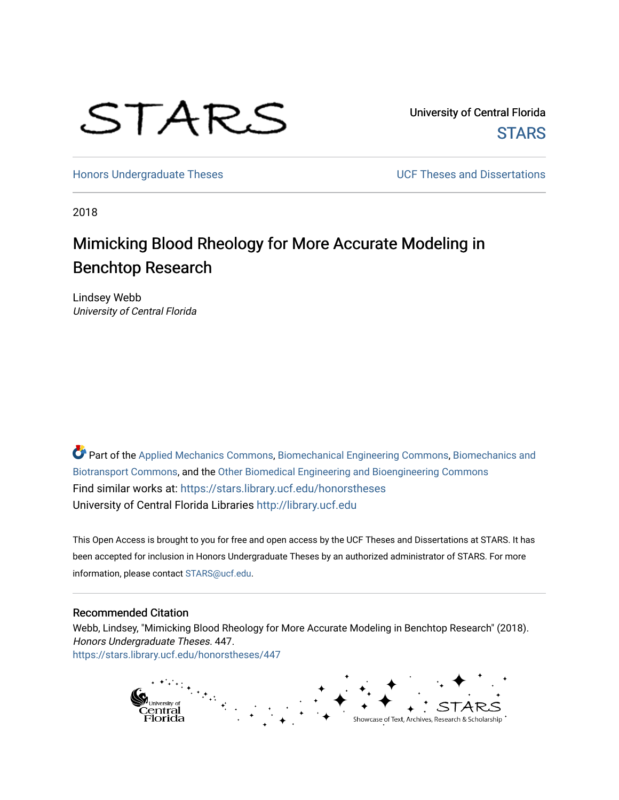# STARS

University of Central Florida **STARS** 

[Honors Undergraduate Theses](https://stars.library.ucf.edu/honorstheses) **No. 2018** UCF Theses and Dissertations

2018

# Mimicking Blood Rheology for More Accurate Modeling in Benchtop Research

Lindsey Webb University of Central Florida

Part of the [Applied Mechanics Commons](http://network.bepress.com/hgg/discipline/295?utm_source=stars.library.ucf.edu%2Fhonorstheses%2F447&utm_medium=PDF&utm_campaign=PDFCoverPages), [Biomechanical Engineering Commons,](http://network.bepress.com/hgg/discipline/296?utm_source=stars.library.ucf.edu%2Fhonorstheses%2F447&utm_medium=PDF&utm_campaign=PDFCoverPages) [Biomechanics and](http://network.bepress.com/hgg/discipline/234?utm_source=stars.library.ucf.edu%2Fhonorstheses%2F447&utm_medium=PDF&utm_campaign=PDFCoverPages) [Biotransport Commons,](http://network.bepress.com/hgg/discipline/234?utm_source=stars.library.ucf.edu%2Fhonorstheses%2F447&utm_medium=PDF&utm_campaign=PDFCoverPages) and the [Other Biomedical Engineering and Bioengineering Commons](http://network.bepress.com/hgg/discipline/239?utm_source=stars.library.ucf.edu%2Fhonorstheses%2F447&utm_medium=PDF&utm_campaign=PDFCoverPages) Find similar works at: <https://stars.library.ucf.edu/honorstheses> University of Central Florida Libraries [http://library.ucf.edu](http://library.ucf.edu/) 

This Open Access is brought to you for free and open access by the UCF Theses and Dissertations at STARS. It has been accepted for inclusion in Honors Undergraduate Theses by an authorized administrator of STARS. For more information, please contact [STARS@ucf.edu.](mailto:STARS@ucf.edu)

#### Recommended Citation

Webb, Lindsey, "Mimicking Blood Rheology for More Accurate Modeling in Benchtop Research" (2018). Honors Undergraduate Theses. 447. [https://stars.library.ucf.edu/honorstheses/447](https://stars.library.ucf.edu/honorstheses/447?utm_source=stars.library.ucf.edu%2Fhonorstheses%2F447&utm_medium=PDF&utm_campaign=PDFCoverPages) 

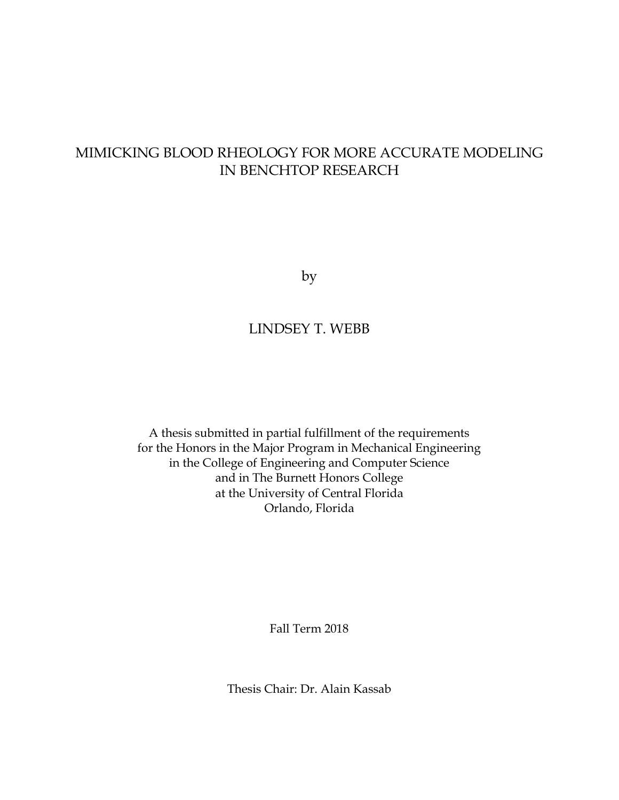## MIMICKING BLOOD RHEOLOGY FOR MORE ACCURATE MODELING IN BENCHTOP RESEARCH

by

#### LINDSEY T. WEBB

A thesis submitted in partial fulfillment of the requirements for the Honors in the Major Program in Mechanical Engineering in the College of Engineering and Computer Science and in The Burnett Honors College at the University of Central Florida Orlando, Florida

Fall Term 2018

Thesis Chair: Dr. Alain Kassab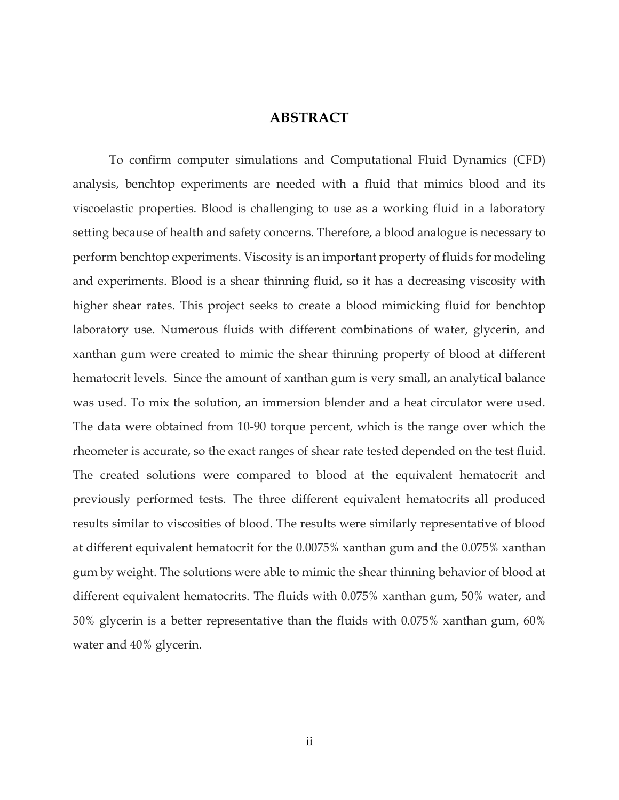#### **ABSTRACT**

To confirm computer simulations and Computational Fluid Dynamics (CFD) analysis, benchtop experiments are needed with a fluid that mimics blood and its viscoelastic properties. Blood is challenging to use as a working fluid in a laboratory setting because of health and safety concerns. Therefore, a blood analogue is necessary to perform benchtop experiments. Viscosity is an important property of fluids for modeling and experiments. Blood is a shear thinning fluid, so it has a decreasing viscosity with higher shear rates. This project seeks to create a blood mimicking fluid for benchtop laboratory use. Numerous fluids with different combinations of water, glycerin, and xanthan gum were created to mimic the shear thinning property of blood at different hematocrit levels. Since the amount of xanthan gum is very small, an analytical balance was used. To mix the solution, an immersion blender and a heat circulator were used. The data were obtained from 10-90 torque percent, which is the range over which the rheometer is accurate, so the exact ranges of shear rate tested depended on the test fluid. The created solutions were compared to blood at the equivalent hematocrit and previously performed tests. The three different equivalent hematocrits all produced results similar to viscosities of blood. The results were similarly representative of blood at different equivalent hematocrit for the 0.0075% xanthan gum and the 0.075% xanthan gum by weight. The solutions were able to mimic the shear thinning behavior of blood at different equivalent hematocrits. The fluids with 0.075% xanthan gum, 50% water, and 50% glycerin is a better representative than the fluids with 0.075% xanthan gum, 60% water and 40% glycerin.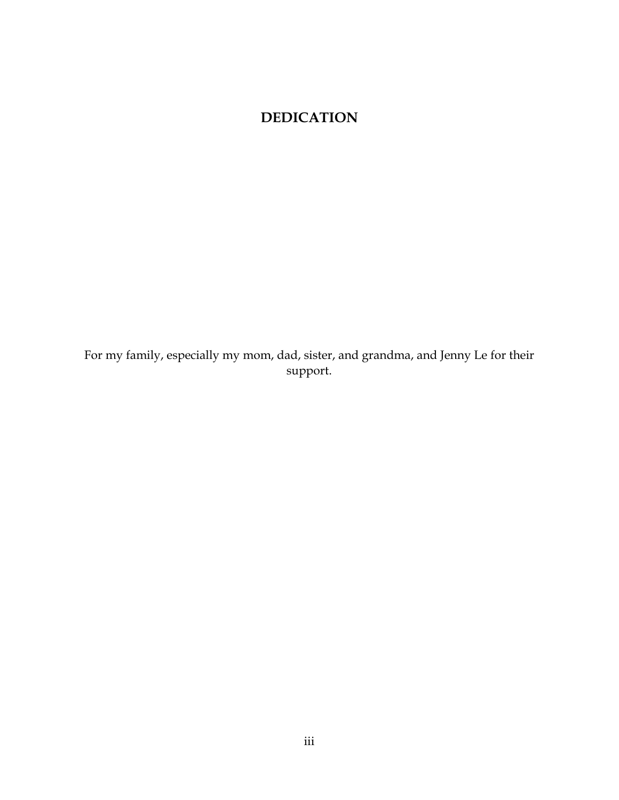## **DEDICATION**

For my family, especially my mom, dad, sister, and grandma, and Jenny Le for their support.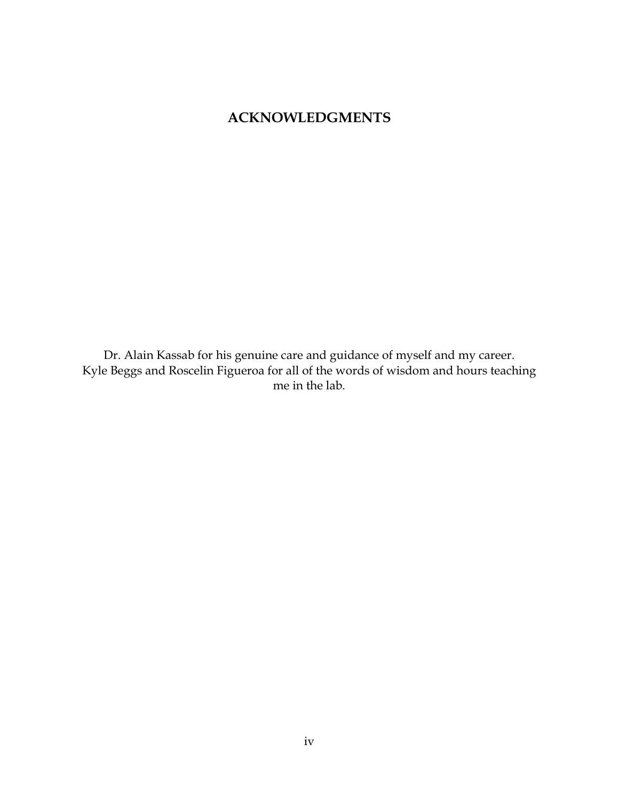### **ACKNOWLEDGMENTS**

Dr. Alain Kassab for his genuine care and guidance of myself and my career. Kyle Beggs and Roscelin Figueroa for all of the words of wisdom and hours teaching me in the lab.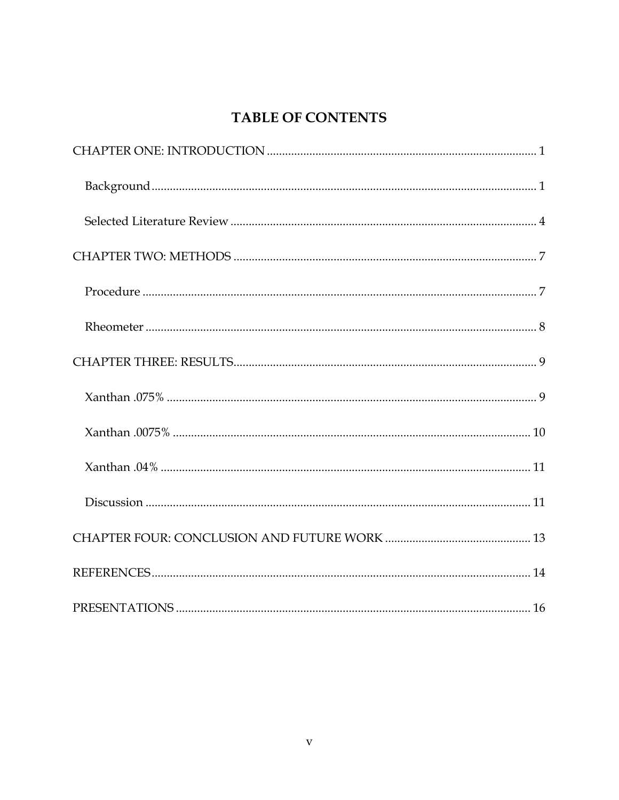## TABLE OF CONTENTS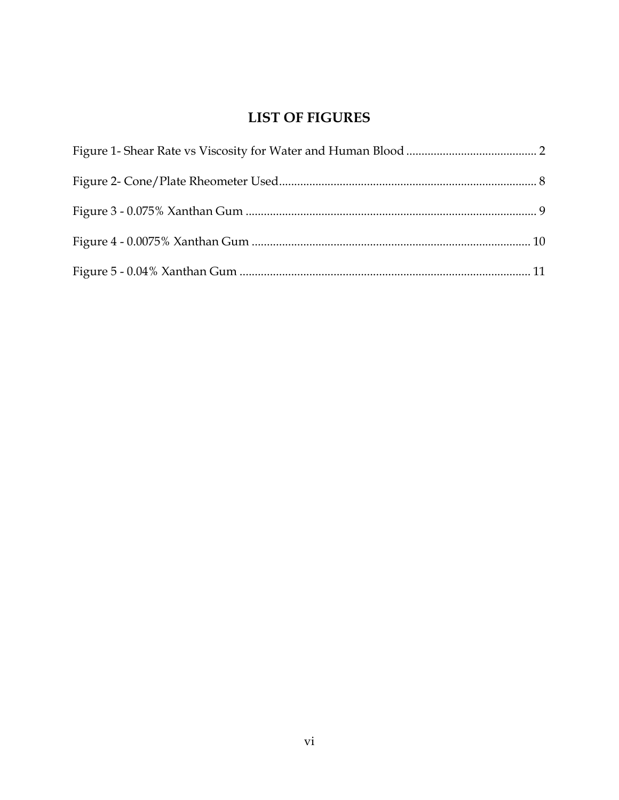## **LIST OF FIGURES**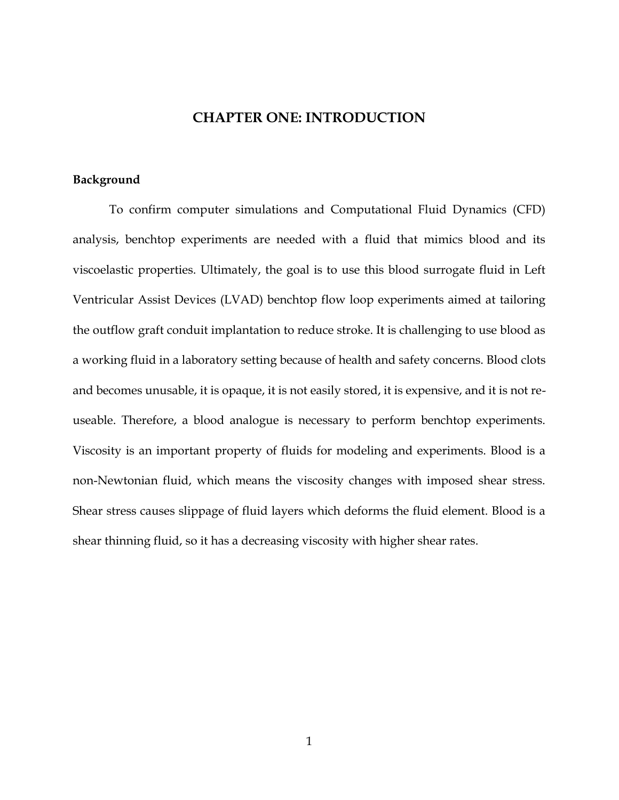#### **CHAPTER ONE: INTRODUCTION**

#### <span id="page-7-1"></span><span id="page-7-0"></span>**Background**

To confirm computer simulations and Computational Fluid Dynamics (CFD) analysis, benchtop experiments are needed with a fluid that mimics blood and its viscoelastic properties. Ultimately, the goal is to use this blood surrogate fluid in Left Ventricular Assist Devices (LVAD) benchtop flow loop experiments aimed at tailoring the outflow graft conduit implantation to reduce stroke. It is challenging to use blood as a working fluid in a laboratory setting because of health and safety concerns. Blood clots and becomes unusable, it is opaque, it is not easily stored, it is expensive, and it is not reuseable. Therefore, a blood analogue is necessary to perform benchtop experiments. Viscosity is an important property of fluids for modeling and experiments. Blood is a non-Newtonian fluid, which means the viscosity changes with imposed shear stress. Shear stress causes slippage of fluid layers which deforms the fluid element. Blood is a shear thinning fluid, so it has a decreasing viscosity with higher shear rates.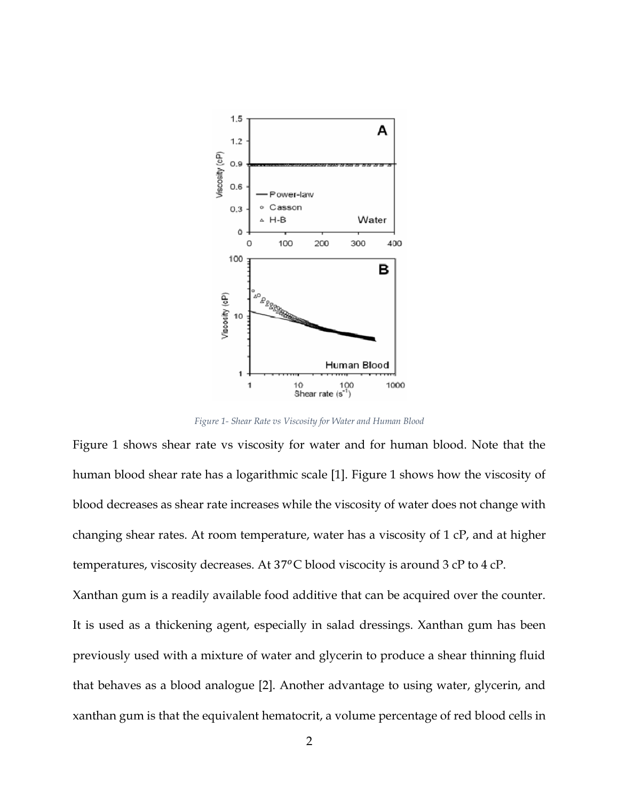

*Figure 1- Shear Rate vs Viscosity for Water and Human Blood*

<span id="page-8-0"></span>Figure 1 shows shear rate vs viscosity for water and for human blood. Note that the human blood shear rate has a logarithmic scale [1]. Figure 1 shows how the viscosity of blood decreases as shear rate increases while the viscosity of water does not change with changing shear rates. At room temperature, water has a viscosity of 1 cP, and at higher temperatures, viscosity decreases. At  $37^{\circ}$ C blood viscocity is around 3 cP to 4 cP.

Xanthan gum is a readily available food additive that can be acquired over the counter. It is used as a thickening agent, especially in salad dressings. Xanthan gum has been previously used with a mixture of water and glycerin to produce a shear thinning fluid that behaves as a blood analogue [2]. Another advantage to using water, glycerin, and xanthan gum is that the equivalent hematocrit, a volume percentage of red blood cells in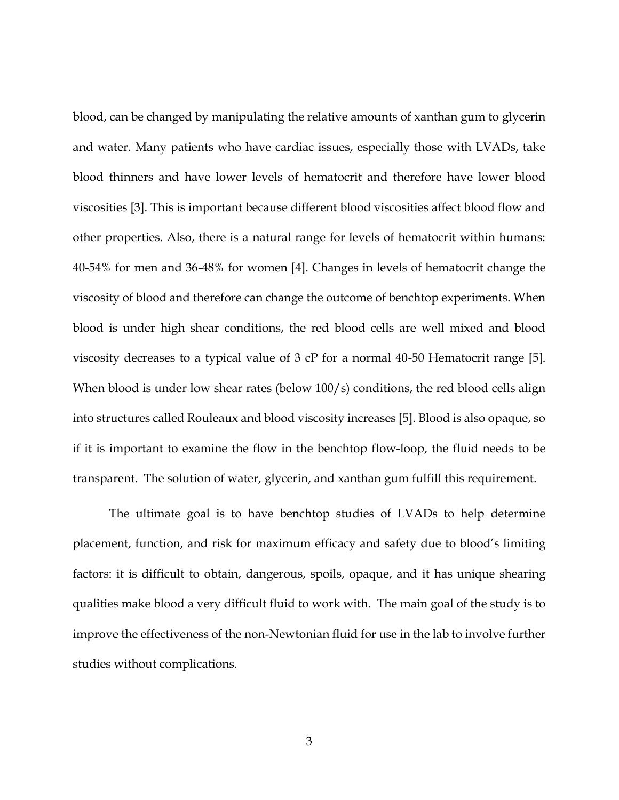blood, can be changed by manipulating the relative amounts of xanthan gum to glycerin and water. Many patients who have cardiac issues, especially those with LVADs, take blood thinners and have lower levels of hematocrit and therefore have lower blood viscosities [3]. This is important because different blood viscosities affect blood flow and other properties. Also, there is a natural range for levels of hematocrit within humans: 40-54% for men and 36-48% for women [4]. Changes in levels of hematocrit change the viscosity of blood and therefore can change the outcome of benchtop experiments. When blood is under high shear conditions, the red blood cells are well mixed and blood viscosity decreases to a typical value of 3 cP for a normal 40-50 Hematocrit range [5]. When blood is under low shear rates (below 100/s) conditions, the red blood cells align into structures called Rouleaux and blood viscosity increases [5]. Blood is also opaque, so if it is important to examine the flow in the benchtop flow-loop, the fluid needs to be transparent. The solution of water, glycerin, and xanthan gum fulfill this requirement.

The ultimate goal is to have benchtop studies of LVADs to help determine placement, function, and risk for maximum efficacy and safety due to blood's limiting factors: it is difficult to obtain, dangerous, spoils, opaque, and it has unique shearing qualities make blood a very difficult fluid to work with. The main goal of the study is to improve the effectiveness of the non-Newtonian fluid for use in the lab to involve further studies without complications.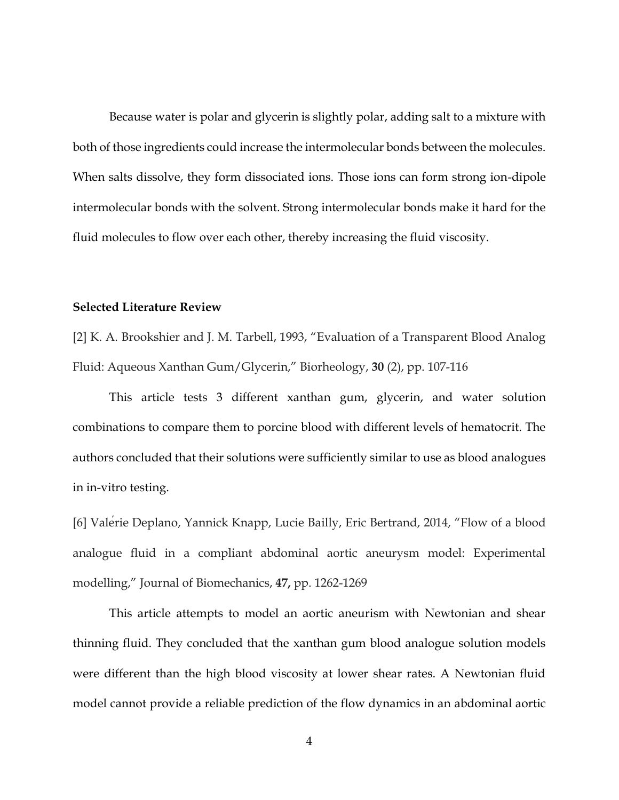Because water is polar and glycerin is slightly polar, adding salt to a mixture with both of those ingredients could increase the intermolecular bonds between the molecules. When salts dissolve, they form dissociated ions. Those ions can form strong ion-dipole intermolecular bonds with the solvent. Strong intermolecular bonds make it hard for the fluid molecules to flow over each other, thereby increasing the fluid viscosity.

#### <span id="page-10-0"></span>**Selected Literature Review**

[2] K. A. Brookshier and J. M. Tarbell, 1993, "Evaluation of a Transparent Blood Analog Fluid: Aqueous Xanthan Gum/Glycerin," Biorheology, **30** (2), pp. 107-116

This article tests 3 different xanthan gum, glycerin, and water solution combinations to compare them to porcine blood with different levels of hematocrit. The authors concluded that their solutions were sufficiently similar to use as blood analogues in in-vitro testing.

[6] Valérie Deplano, Yannick Knapp, Lucie Bailly, Eric Bertrand, 2014, "Flow of a blood analogue fluid in a compliant abdominal aortic aneurysm model: Experimental modelling," Journal of Biomechanics, **47,** pp. 1262-1269

This article attempts to model an aortic aneurism with Newtonian and shear thinning fluid. They concluded that the xanthan gum blood analogue solution models were different than the high blood viscosity at lower shear rates. A Newtonian fluid model cannot provide a reliable prediction of the flow dynamics in an abdominal aortic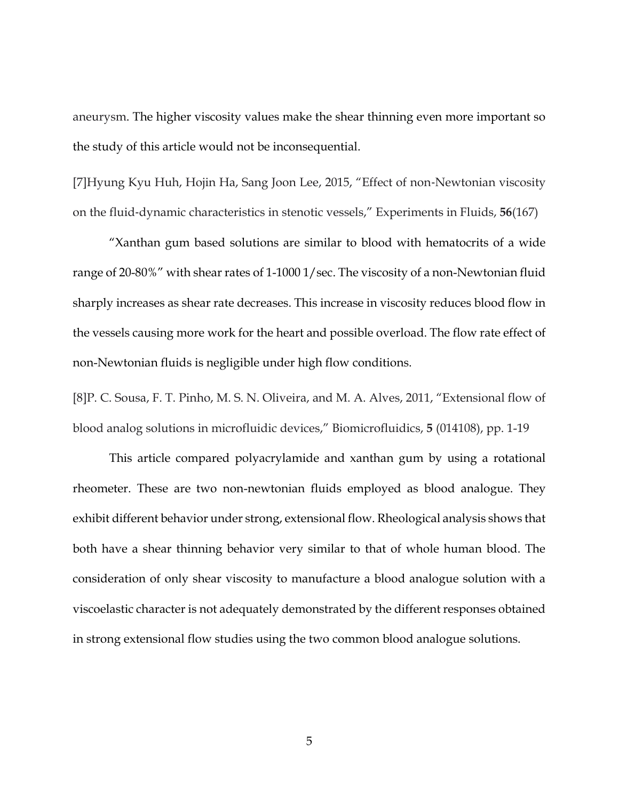aneurysm. The higher viscosity values make the shear thinning even more important so the study of this article would not be inconsequential.

[7]Hyung Kyu Huh, Hojin Ha, Sang Joon Lee, 2015, "Effect of non‐Newtonian viscosity on the fluid‐dynamic characteristics in stenotic vessels," Experiments in Fluids, **56**(167)

"Xanthan gum based solutions are similar to blood with hematocrits of a wide range of 20-80%" with shear rates of 1-1000 1/sec. The viscosity of a non-Newtonian fluid sharply increases as shear rate decreases. This increase in viscosity reduces blood flow in the vessels causing more work for the heart and possible overload. The flow rate effect of non-Newtonian fluids is negligible under high flow conditions.

[8]P. C. Sousa, F. T. Pinho, M. S. N. Oliveira, and M. A. Alves, 2011, "Extensional flow of blood analog solutions in microfluidic devices," Biomicrofluidics, **5** (014108), pp. 1-19

This article compared polyacrylamide and xanthan gum by using a rotational rheometer. These are two non-newtonian fluids employed as blood analogue. They exhibit different behavior under strong, extensional flow. Rheological analysis shows that both have a shear thinning behavior very similar to that of whole human blood. The consideration of only shear viscosity to manufacture a blood analogue solution with a viscoelastic character is not adequately demonstrated by the different responses obtained in strong extensional flow studies using the two common blood analogue solutions.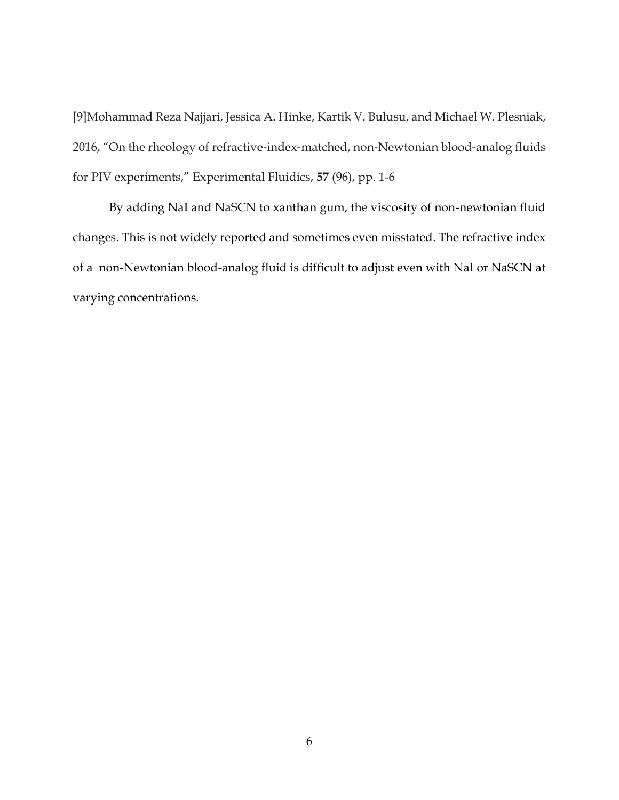[9]Mohammad Reza Najjari, Jessica A. Hinke, Kartik V. Bulusu, and Michael W. Plesniak, 2016, "On the rheology of refractive-index-matched, non-Newtonian blood-analog fluids for PIV experiments," Experimental Fluidics, **57** (96), pp. 1-6

By adding NaI and NaSCN to xanthan gum, the viscosity of non-newtonian fluid changes. This is not widely reported and sometimes even misstated. The refractive index of a non-Newtonian blood-analog fluid is difficult to adjust even with NaI or NaSCN at varying concentrations.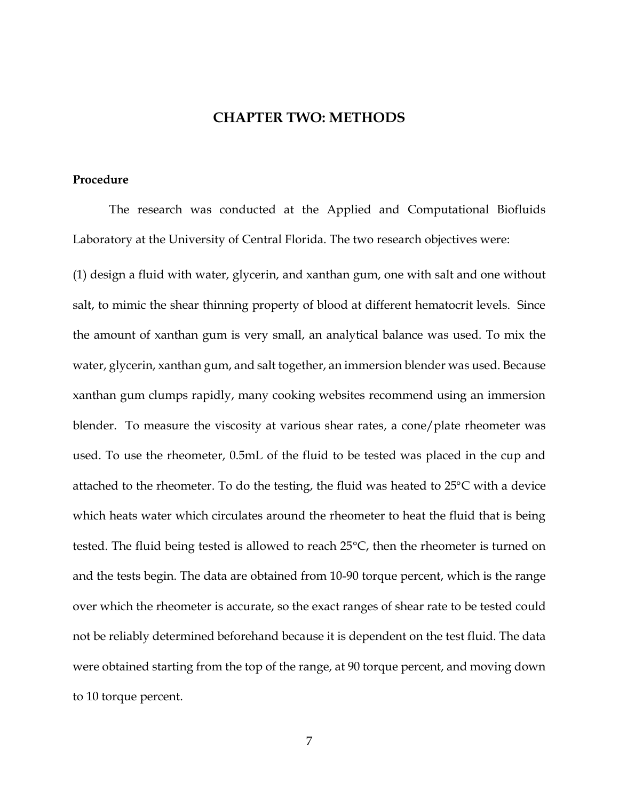#### **CHAPTER TWO: METHODS**

#### <span id="page-13-1"></span><span id="page-13-0"></span>**Procedure**

The research was conducted at the Applied and Computational Biofluids Laboratory at the University of Central Florida. The two research objectives were:

(1) design a fluid with water, glycerin, and xanthan gum, one with salt and one without salt, to mimic the shear thinning property of blood at different hematocrit levels. Since the amount of xanthan gum is very small, an analytical balance was used. To mix the water, glycerin, xanthan gum, and salt together, an immersion blender was used. Because xanthan gum clumps rapidly, many cooking websites recommend using an immersion blender. To measure the viscosity at various shear rates, a cone/plate rheometer was used. To use the rheometer, 0.5mL of the fluid to be tested was placed in the cup and attached to the rheometer. To do the testing, the fluid was heated to 25°C with a device which heats water which circulates around the rheometer to heat the fluid that is being tested. The fluid being tested is allowed to reach 25°C, then the rheometer is turned on and the tests begin. The data are obtained from 10-90 torque percent, which is the range over which the rheometer is accurate, so the exact ranges of shear rate to be tested could not be reliably determined beforehand because it is dependent on the test fluid. The data were obtained starting from the top of the range, at 90 torque percent, and moving down to 10 torque percent.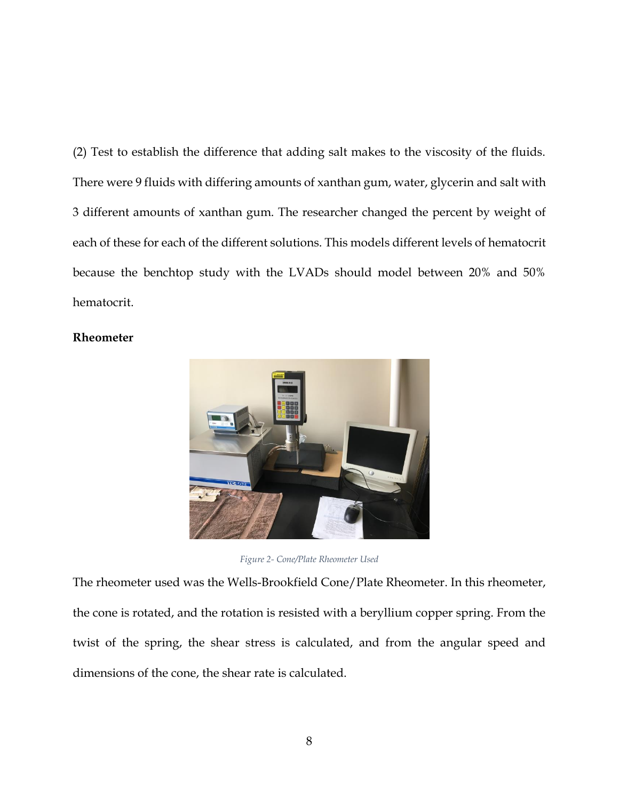(2) Test to establish the difference that adding salt makes to the viscosity of the fluids. There were 9 fluids with differing amounts of xanthan gum, water, glycerin and salt with 3 different amounts of xanthan gum. The researcher changed the percent by weight of each of these for each of the different solutions. This models different levels of hematocrit because the benchtop study with the LVADs should model between 20% and 50% hematocrit.

#### <span id="page-14-0"></span>**Rheometer**



*Figure 2- Cone/Plate Rheometer Used*

<span id="page-14-1"></span>The rheometer used was the Wells-Brookfield Cone/Plate Rheometer. In this rheometer, the cone is rotated, and the rotation is resisted with a beryllium copper spring. From the twist of the spring, the shear stress is calculated, and from the angular speed and dimensions of the cone, the shear rate is calculated.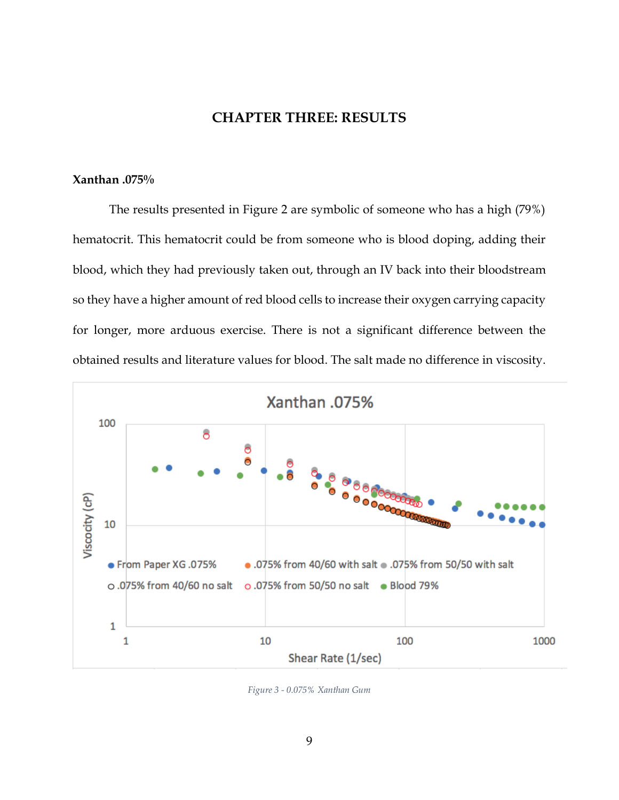#### **CHAPTER THREE: RESULTS**

#### <span id="page-15-1"></span><span id="page-15-0"></span>**Xanthan .075%**

The results presented in Figure 2 are symbolic of someone who has a high (79%) hematocrit. This hematocrit could be from someone who is blood doping, adding their blood, which they had previously taken out, through an IV back into their bloodstream so they have a higher amount of red blood cells to increase their oxygen carrying capacity for longer, more arduous exercise. There is not a significant difference between the obtained results and literature values for blood. The salt made no difference in viscosity.



<span id="page-15-2"></span>*Figure 3 - 0.075% Xanthan Gum*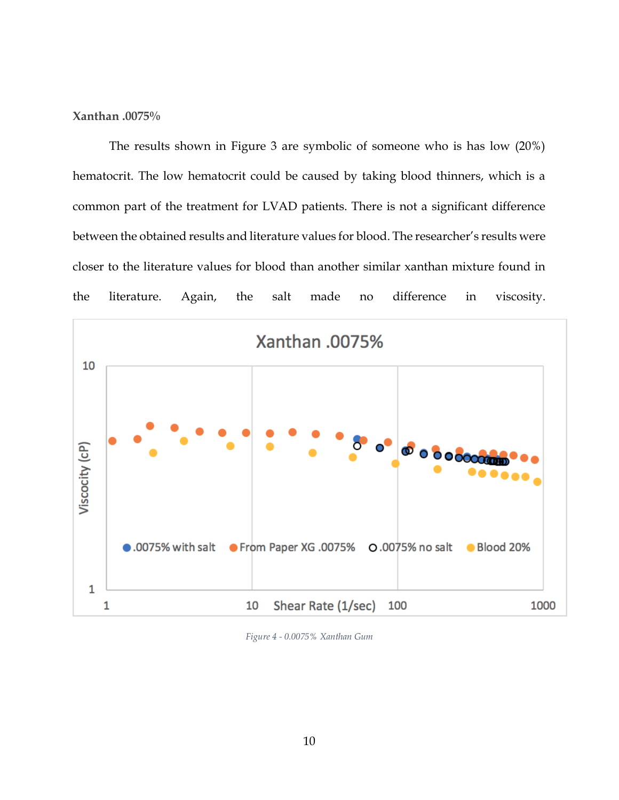#### <span id="page-16-0"></span>**Xanthan .0075%**

The results shown in Figure 3 are symbolic of someone who is has low (20%) hematocrit. The low hematocrit could be caused by taking blood thinners, which is a common part of the treatment for LVAD patients. There is not a significant difference between the obtained results and literature values for blood. The researcher's results were closer to the literature values for blood than another similar xanthan mixture found in the literature. Again, the salt made no difference in viscosity.



<span id="page-16-1"></span>*Figure 4 - 0.0075% Xanthan Gum*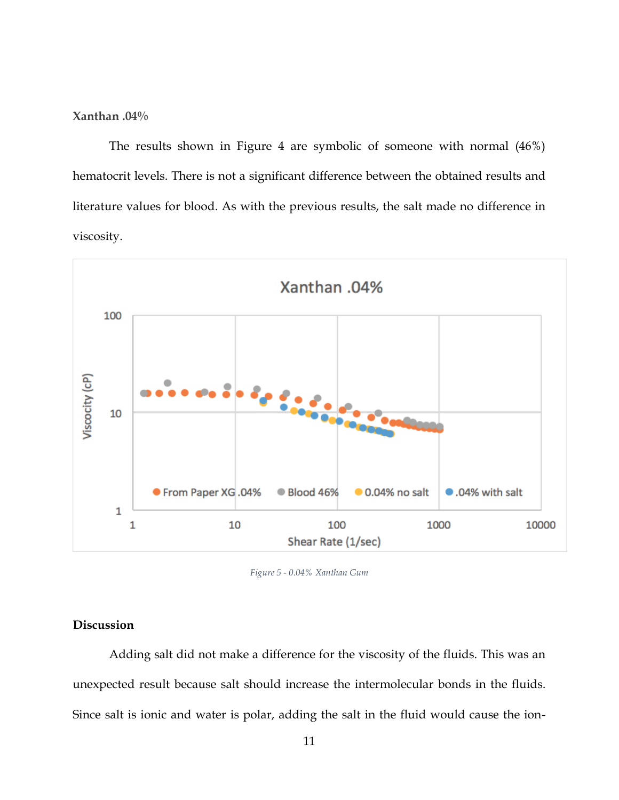<span id="page-17-0"></span>**Xanthan .04%**

The results shown in Figure 4 are symbolic of someone with normal (46%) hematocrit levels. There is not a significant difference between the obtained results and literature values for blood. As with the previous results, the salt made no difference in viscosity.



*Figure 5 - 0.04% Xanthan Gum*

#### <span id="page-17-2"></span><span id="page-17-1"></span>**Discussion**

Adding salt did not make a difference for the viscosity of the fluids. This was an unexpected result because salt should increase the intermolecular bonds in the fluids. Since salt is ionic and water is polar, adding the salt in the fluid would cause the ion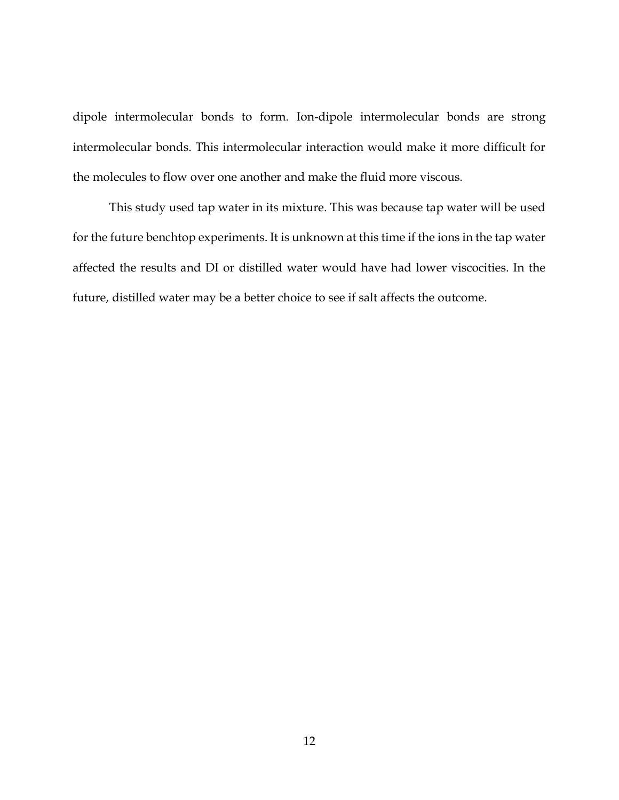dipole intermolecular bonds to form. Ion-dipole intermolecular bonds are strong intermolecular bonds. This intermolecular interaction would make it more difficult for the molecules to flow over one another and make the fluid more viscous.

This study used tap water in its mixture. This was because tap water will be used for the future benchtop experiments. It is unknown at this time if the ions in the tap water affected the results and DI or distilled water would have had lower viscocities. In the future, distilled water may be a better choice to see if salt affects the outcome.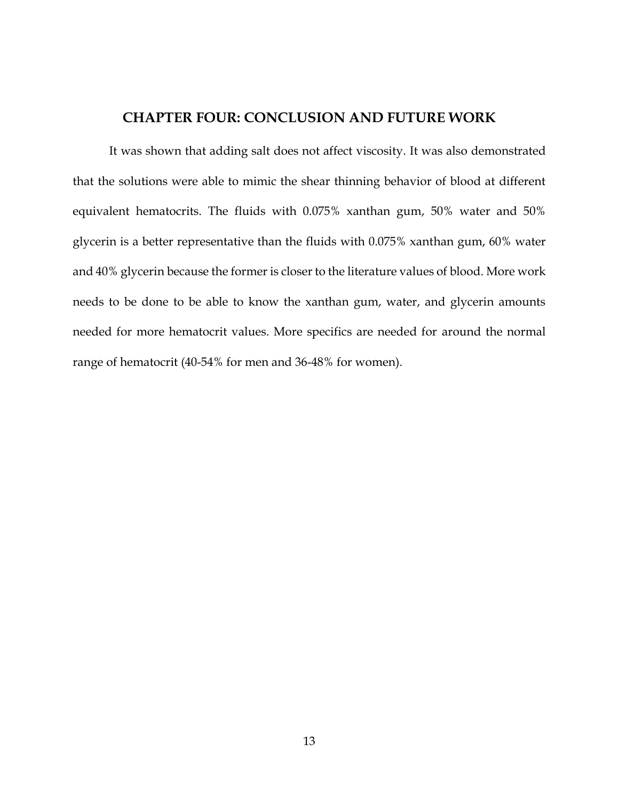#### **CHAPTER FOUR: CONCLUSION AND FUTURE WORK**

<span id="page-19-0"></span>It was shown that adding salt does not affect viscosity. It was also demonstrated that the solutions were able to mimic the shear thinning behavior of blood at different equivalent hematocrits. The fluids with 0.075% xanthan gum, 50% water and 50% glycerin is a better representative than the fluids with 0.075% xanthan gum, 60% water and 40% glycerin because the former is closer to the literature values of blood. More work needs to be done to be able to know the xanthan gum, water, and glycerin amounts needed for more hematocrit values. More specifics are needed for around the normal range of hematocrit (40-54% for men and 36-48% for women).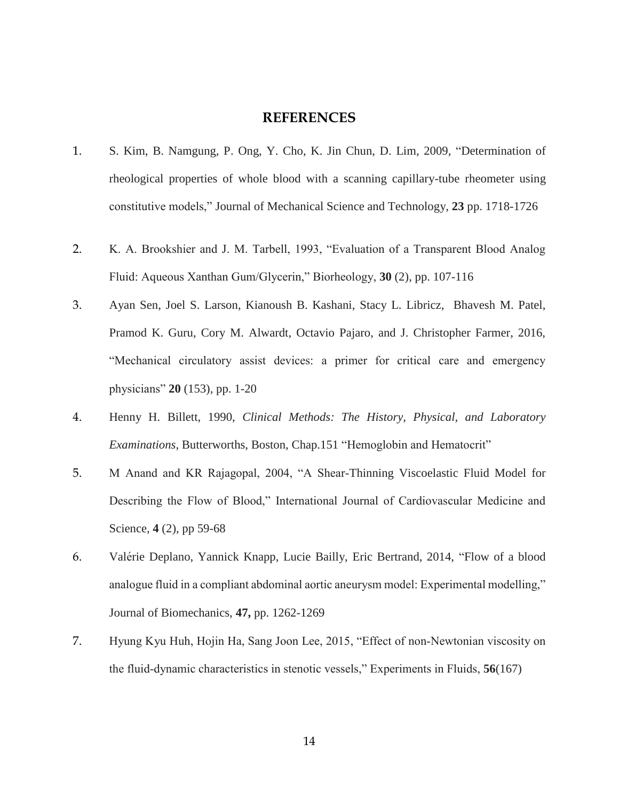#### **REFERENCES**

- <span id="page-20-0"></span>1. S. Kim, B. Namgung, P. Ong, Y. Cho, K. Jin Chun, D. Lim, 2009, "Determination of rheological properties of whole blood with a scanning capillary-tube rheometer using constitutive models," Journal of Mechanical Science and Technology, **23** pp. 1718-1726
- 2. K. A. Brookshier and J. M. Tarbell, 1993, "Evaluation of a Transparent Blood Analog Fluid: Aqueous Xanthan Gum/Glycerin," Biorheology, **30** (2), pp. 107-116
- 3. Ayan Sen, Joel S. Larson, Kianoush B. Kashani, Stacy L. Libricz, Bhavesh M. Patel, Pramod K. Guru, Cory M. Alwardt, Octavio Pajaro, and J. Christopher Farmer, 2016, "Mechanical circulatory assist devices: a primer for critical care and emergency physicians" **20** (153), pp. 1-20
- 4. Henny H. Billett, 1990, *Clinical Methods: The History, Physical, and Laboratory Examinations*, Butterworths, Boston, Chap.151 "Hemoglobin and Hematocrit"
- 5. M Anand and KR Rajagopal, 2004, "A Shear-Thinning Viscoelastic Fluid Model for Describing the Flow of Blood," International Journal of Cardiovascular Medicine and Science, **4** (2), pp 59-68
- 6. Valérie Deplano, Yannick Knapp, Lucie Bailly, Eric Bertrand, 2014, "Flow of a blood analogue fluid in a compliant abdominal aortic aneurysm model: Experimental modelling," Journal of Biomechanics, **47,** pp. 1262-1269
- 7. Hyung Kyu Huh, Hojin Ha, Sang Joon Lee, 2015, "Effect of non‐Newtonian viscosity on the fluid‐dynamic characteristics in stenotic vessels," Experiments in Fluids, **56**(167)

14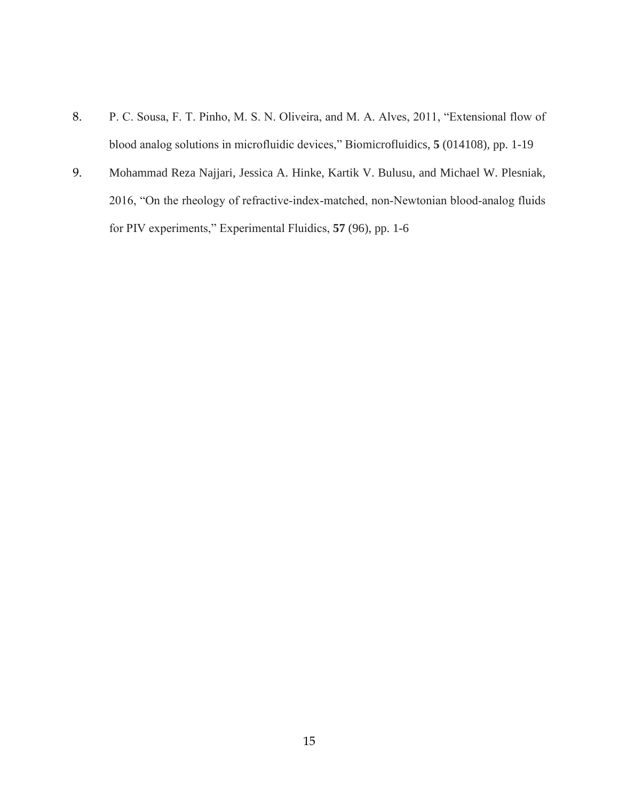- 8. P. C. Sousa, F. T. Pinho, M. S. N. Oliveira, and M. A. Alves, 2011, "Extensional flow of blood analog solutions in microfluidic devices," Biomicrofluidics, **5** (014108), pp. 1-19
- 9. Mohammad Reza Najjari, Jessica A. Hinke, Kartik V. Bulusu, and Michael W. Plesniak, 2016, "On the rheology of refractive‐index‐matched, non‐Newtonian blood‐analog fluids for PIV experiments," Experimental Fluidics, **57** (96), pp. 1-6